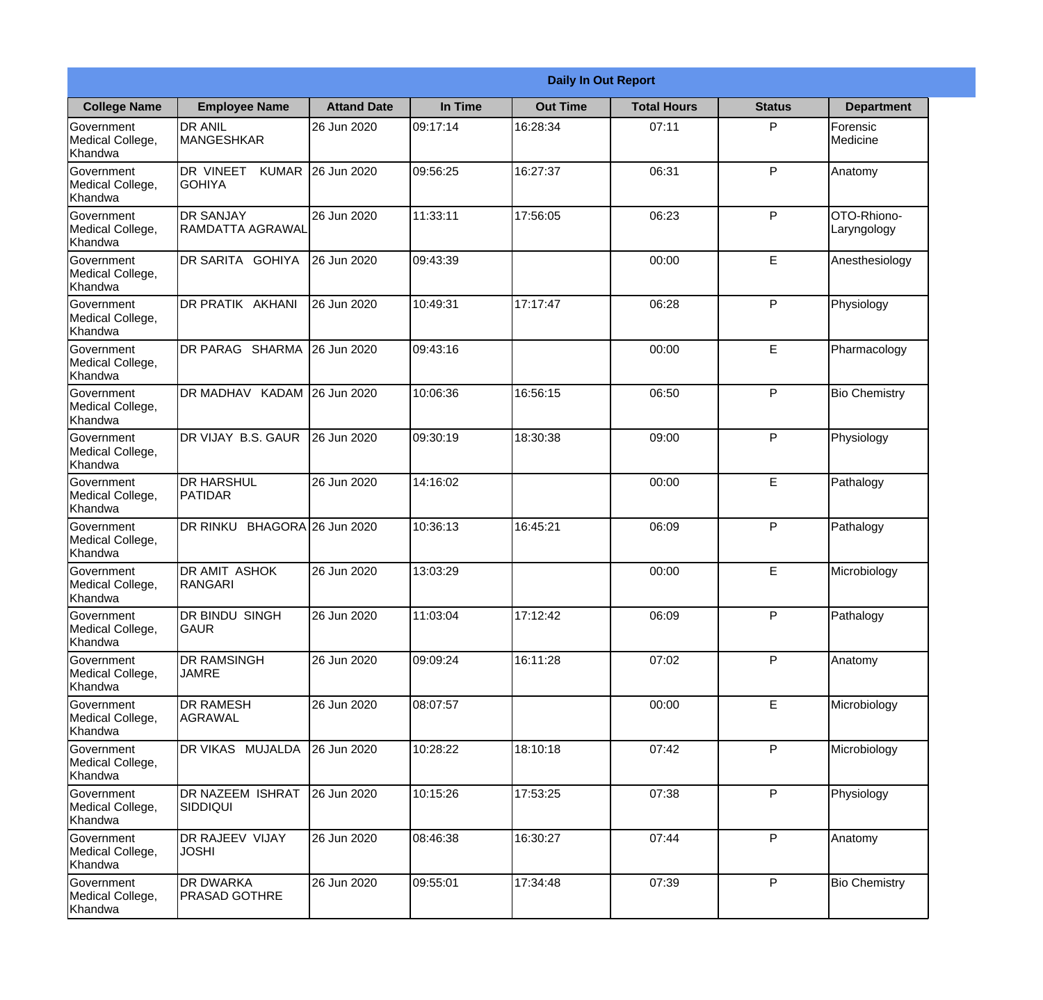|                                                  |                                            |                     |          | <b>Daily In Out Report</b> |                    |               |                            |
|--------------------------------------------------|--------------------------------------------|---------------------|----------|----------------------------|--------------------|---------------|----------------------------|
| <b>College Name</b>                              | <b>Employee Name</b>                       | <b>Attand Date</b>  | In Time  | <b>Out Time</b>            | <b>Total Hours</b> | <b>Status</b> | <b>Department</b>          |
| Government<br>Medical College,<br>Khandwa        | <b>DR ANIL</b><br>MANGESHKAR               | 26 Jun 2020         | 09:17:14 | 16:28:34                   | 07:11              | P             | Forensic<br>Medicine       |
| Government<br>Medical College,<br>Khandwa        | DR VINEET<br><b>KUMAR</b><br><b>GOHIYA</b> | 26 Jun 2020         | 09:56:25 | 16:27:37                   | 06:31              | P             | Anatomy                    |
| <b>Government</b><br>Medical College,<br>Khandwa | <b>DR SANJAY</b><br>RAMDATTA AGRAWAL       | 26 Jun 2020         | 11:33:11 | 17:56:05                   | 06:23              | P             | OTO-Rhiono-<br>Laryngology |
| Government<br>Medical College,<br>Khandwa        | DR SARITA GOHIYA                           | 26 Jun 2020         | 09:43:39 |                            | 00:00              | E             | Anesthesiology             |
| Government<br>Medical College,<br>Khandwa        | <b>DR PRATIK AKHANI</b>                    | 26 Jun 2020         | 10:49:31 | 17:17:47                   | 06:28              | P             | Physiology                 |
| Government<br>Medical College,<br>Khandwa        | DR PARAG SHARMA                            | 26 Jun 2020         | 09:43:16 |                            | 00:00              | E             | Pharmacology               |
| <b>Government</b><br>Medical College,<br>Khandwa | DR MADHAV KADAM 26 Jun 2020                |                     | 10:06:36 | 16:56:15                   | 06:50              | P             | <b>Bio Chemistry</b>       |
| Government<br>Medical College,<br>Khandwa        | DR VIJAY B.S. GAUR                         | 26 Jun 2020         | 09:30:19 | 18:30:38                   | 09:00              | P             | Physiology                 |
| Government<br>Medical College,<br>Khandwa        | <b>DR HARSHUL</b><br>PATIDAR               | 26 Jun 2020         | 14:16:02 |                            | 00:00              | E             | Pathalogy                  |
| Government<br>Medical College,<br>Khandwa        | <b>DR RINKU</b>                            | BHAGORA 26 Jun 2020 | 10:36:13 | 16:45:21                   | 06:09              | P             | Pathalogy                  |
| Government<br>Medical College,<br>Khandwa        | <b>DR AMIT ASHOK</b><br><b>RANGARI</b>     | 26 Jun 2020         | 13:03:29 |                            | 00:00              | E             | Microbiology               |
| Government<br>Medical College,<br>Khandwa        | DR BINDU SINGH<br><b>GAUR</b>              | 26 Jun 2020         | 11:03:04 | 17:12:42                   | 06:09              | P             | Pathalogy                  |
| Government<br>Medical College,<br>Khandwa        | <b>DR RAMSINGH</b><br><b>JAMRE</b>         | 26 Jun 2020         | 09:09:24 | 16:11:28                   | 07:02              | P             | Anatomy                    |
| Government<br>Medical College,<br>Khandwa        | <b>DR RAMESH</b><br><b>AGRAWAL</b>         | 26 Jun 2020         | 08:07:57 |                            | 00:00              | E             | Microbiology               |
| Government<br>Medical College,<br>Khandwa        | <b>DR VIKAS MUJALDA</b>                    | 26 Jun 2020         | 10:28:22 | 18:10:18                   | 07:42              | $\mathsf{P}$  | Microbiology               |
| Government<br>Medical College,<br>Khandwa        | <b>DR NAZEEM ISHRAT</b><br><b>SIDDIQUI</b> | 26 Jun 2020         | 10:15:26 | 17:53:25                   | 07:38              | P             | Physiology                 |
| Government<br>Medical College,<br>Khandwa        | <b>DR RAJEEV VIJAY</b><br><b>JOSHI</b>     | 26 Jun 2020         | 08:46:38 | 16:30:27                   | 07:44              | P             | Anatomy                    |
| Government<br>Medical College,<br>Khandwa        | <b>DR DWARKA</b><br><b>PRASAD GOTHRE</b>   | 26 Jun 2020         | 09:55:01 | 17:34:48                   | 07:39              | P             | <b>Bio Chemistry</b>       |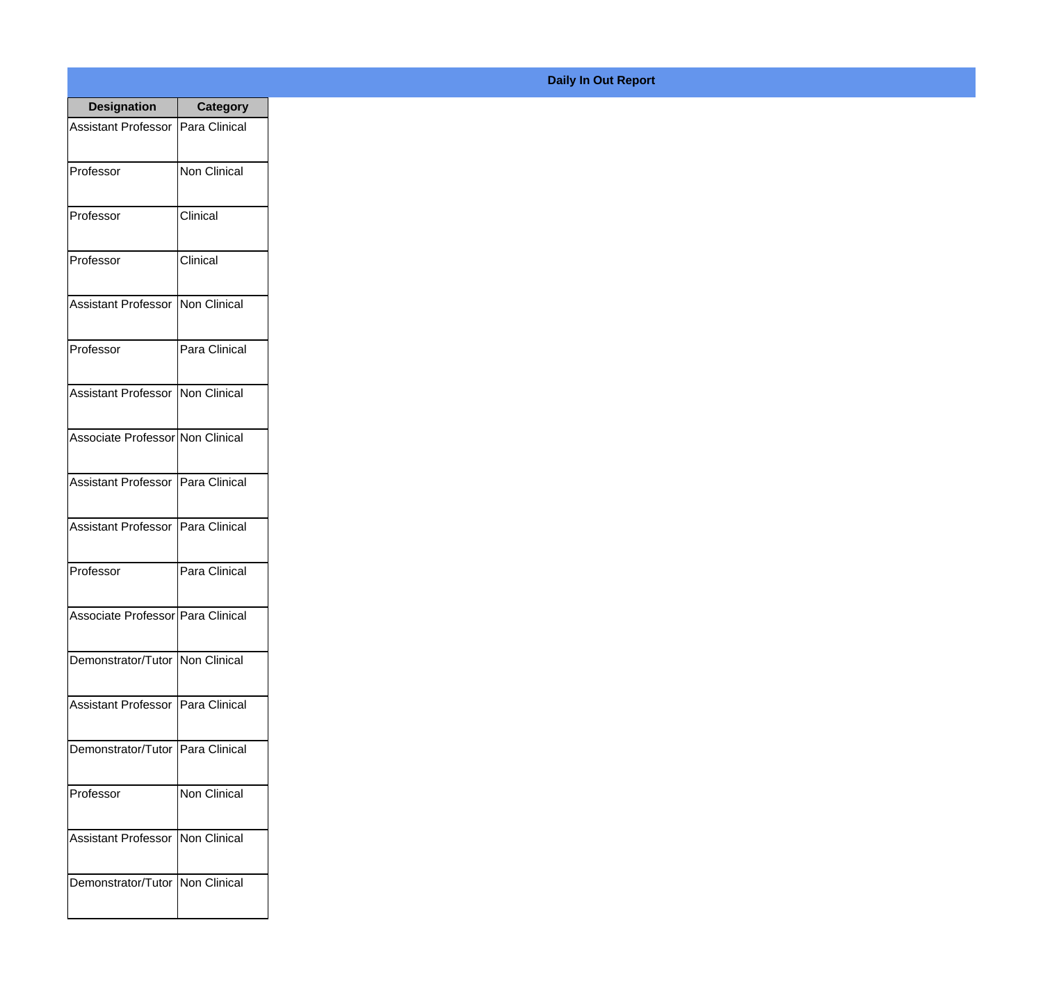| <b>Designation</b>                  | <b>Category</b> |
|-------------------------------------|-----------------|
| Assistant Professor                 | Para Clinical   |
| Professor                           | Non Clinical    |
| Professor                           | Clinical        |
| Professor                           | Clinical        |
| <b>Assistant Professor</b>          | Non Clinical    |
| Professor                           | Para Clinical   |
| Assistant Professor   Non Clinical  |                 |
| Associate Professor Non Clinical    |                 |
| Assistant Professor   Para Clinical |                 |
| <b>Assistant Professor</b>          | Para Clinical   |
| Professor                           | Para Clinical   |
| Associate Professor Para Clinical   |                 |
| Demonstrator/Tutor   Non Clinical   |                 |
| Assistant Professor   Para Clinical |                 |
| Demonstrator/Tutor   Para Clinical  |                 |
| Professor                           | Non Clinical    |
| <b>Assistant Professor</b>          | Non Clinical    |
| Demonstrator/Tutor   Non Clinical   |                 |

## **Daily In Out Report**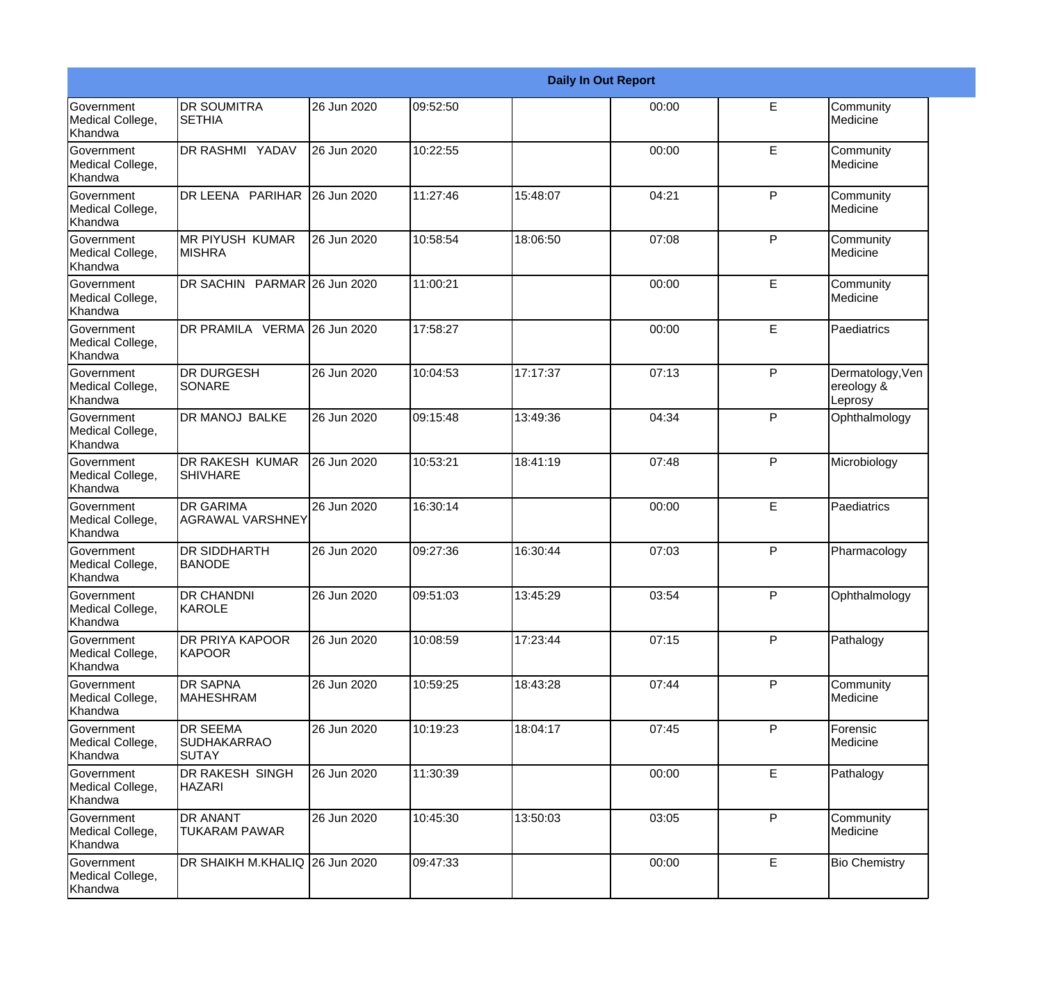|                                                         |                                                       |             |          |          | <b>Daily In Out Report</b> |              |                                           |
|---------------------------------------------------------|-------------------------------------------------------|-------------|----------|----------|----------------------------|--------------|-------------------------------------------|
| Government<br>Medical College,<br>Khandwa               | <b>DR SOUMITRA</b><br><b>SETHIA</b>                   | 26 Jun 2020 | 09:52:50 |          | 00:00                      | E            | Community<br>Medicine                     |
| <b>Government</b><br>Medical College,<br>Khandwa        | DR RASHMI YADAV                                       | 26 Jun 2020 | 10:22:55 |          | 00:00                      | E            | Community<br>Medicine                     |
| <b>Government</b><br>Medical College,<br><b>Khandwa</b> | DR LEENA PARIHAR 26 Jun 2020                          |             | 11:27:46 | 15:48:07 | 04:21                      | P            | Community<br>Medicine                     |
| <b>Government</b><br>Medical College,<br>Khandwa        | <b>MR PIYUSH KUMAR</b><br><b>MISHRA</b>               | 26 Jun 2020 | 10:58:54 | 18:06:50 | 07:08                      | P            | Community<br>Medicine                     |
| Government<br>Medical College,<br>Khandwa               | DR SACHIN PARMAR 26 Jun 2020                          |             | 11:00:21 |          | 00:00                      | E            | Community<br>Medicine                     |
| <b>Government</b><br>Medical College,<br>Khandwa        | DR PRAMILA VERMA 26 Jun 2020                          |             | 17:58:27 |          | 00:00                      | E            | Paediatrics                               |
| <b>Government</b><br>Medical College,<br><b>Khandwa</b> | <b>DR DURGESH</b><br>SONARE                           | 26 Jun 2020 | 10:04:53 | 17:17:37 | 07:13                      | P            | Dermatology, Ven<br>ereology &<br>Leprosy |
| Government<br>Medical College,<br>Khandwa               | DR MANOJ BALKE                                        | 26 Jun 2020 | 09:15:48 | 13:49:36 | 04:34                      | P            | Ophthalmology                             |
| Government<br>Medical College,<br>Khandwa               | <b>DR RAKESH KUMAR</b><br><b>SHIVHARE</b>             | 26 Jun 2020 | 10:53:21 | 18:41:19 | 07:48                      | $\mathsf{P}$ | Microbiology                              |
| <b>Government</b><br>Medical College,<br>Khandwa        | <b>DR GARIMA</b><br><b>AGRAWAL VARSHNEY</b>           | 26 Jun 2020 | 16:30:14 |          | 00:00                      | E            | Paediatrics                               |
| <b>Government</b><br>Medical College,<br>Khandwa        | <b>DR SIDDHARTH</b><br><b>BANODE</b>                  | 26 Jun 2020 | 09:27:36 | 16:30:44 | 07:03                      | P            | Pharmacology                              |
| Government<br>Medical College,<br>Khandwa               | <b>DR CHANDNI</b><br>KAROLE                           | 26 Jun 2020 | 09:51:03 | 13:45:29 | 03:54                      | P            | Ophthalmology                             |
| <b>Government</b><br>Medical College,<br>Khandwa        | DR PRIYA KAPOOR<br><b>KAPOOR</b>                      | 26 Jun 2020 | 10:08:59 | 17:23:44 | 07:15                      | P            | Pathalogy                                 |
| Government<br>Medical College,<br>Khandwa               | <b>DR SAPNA</b><br><b>MAHESHRAM</b>                   | 26 Jun 2020 | 10:59:25 | 18:43:28 | 07:44                      | $\mathsf{P}$ | Community<br>Medicine                     |
| Government<br>Medical College,<br>Khandwa               | <b>DR SEEMA</b><br><b>SUDHAKARRAO</b><br><b>SUTAY</b> | 26 Jun 2020 | 10:19:23 | 18:04:17 | 07:45                      | P            | Forensic<br>Medicine                      |
| Government<br>Medical College,<br>Khandwa               | DR RAKESH SINGH<br><b>HAZARI</b>                      | 26 Jun 2020 | 11:30:39 |          | 00:00                      | E.           | Pathalogy                                 |
| Government<br>Medical College,<br>Khandwa               | <b>DR ANANT</b><br><b>TUKARAM PAWAR</b>               | 26 Jun 2020 | 10:45:30 | 13:50:03 | 03:05                      | P            | Community<br>Medicine                     |
| Government<br>Medical College,<br>Khandwa               | DR SHAIKH M.KHALIQ 26 Jun 2020                        |             | 09:47:33 |          | 00:00                      | E            | <b>Bio Chemistry</b>                      |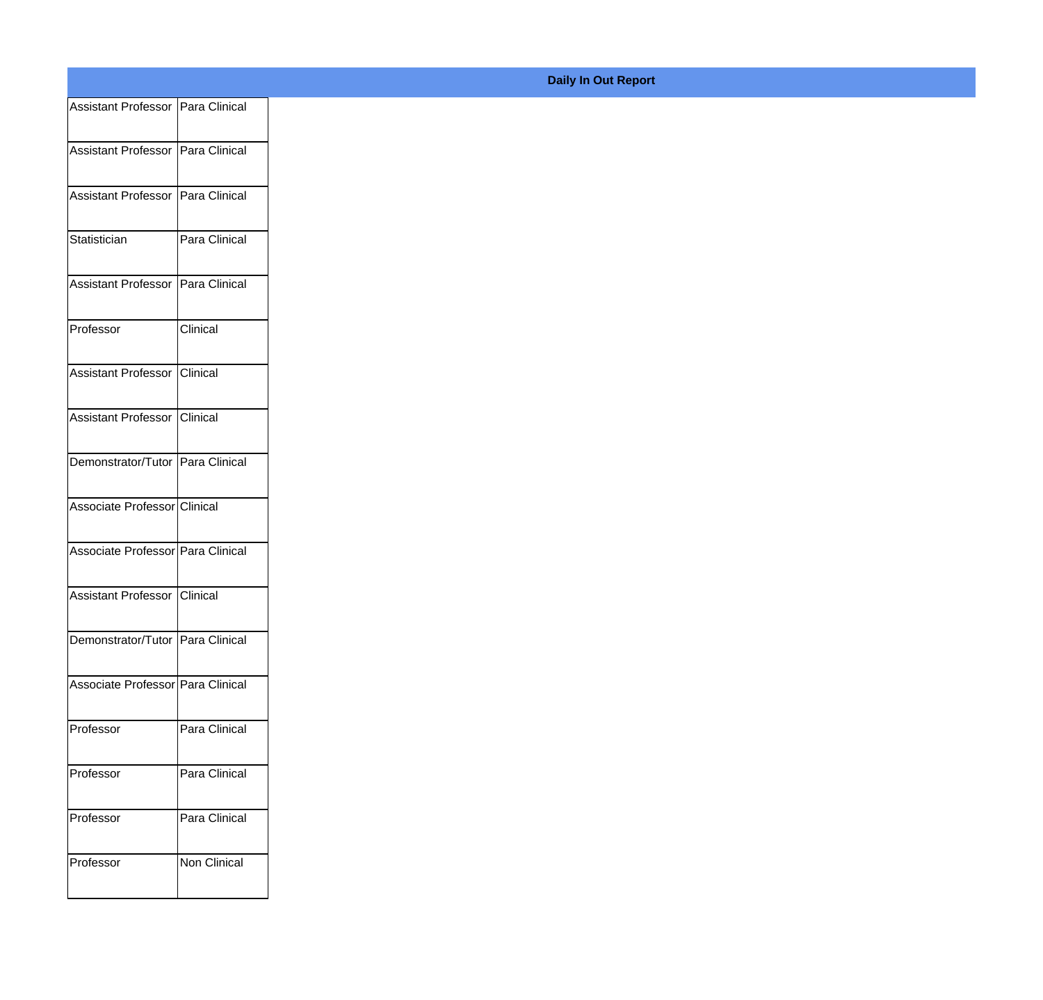| Assistant Professor   Para Clinical |               |
|-------------------------------------|---------------|
|                                     |               |
| Assistant Professor Para Clinical   |               |
| Assistant Professor Para Clinical   |               |
|                                     |               |
| Statistician                        | Para Clinical |
| Assistant Professor Para Clinical   |               |
|                                     |               |
| Professor                           | Clinical      |
| Assistant Professor Clinical        |               |
| Assistant Professor Clinical        |               |
|                                     |               |
| Demonstrator/Tutor Para Clinical    |               |
| Associate Professor Clinical        |               |
|                                     |               |
| Associate Professor Para Clinical   |               |
| Assistant Professor Clinical        |               |
|                                     |               |
| Demonstrator/Tutor Para Clinical    |               |
| Associate Professor Para Clinical   |               |
|                                     |               |
| Professor                           | Para Clinical |
| Professor                           | Para Clinical |
|                                     |               |
| Professor                           | Para Clinical |
| Professor                           | Non Clinical  |
|                                     |               |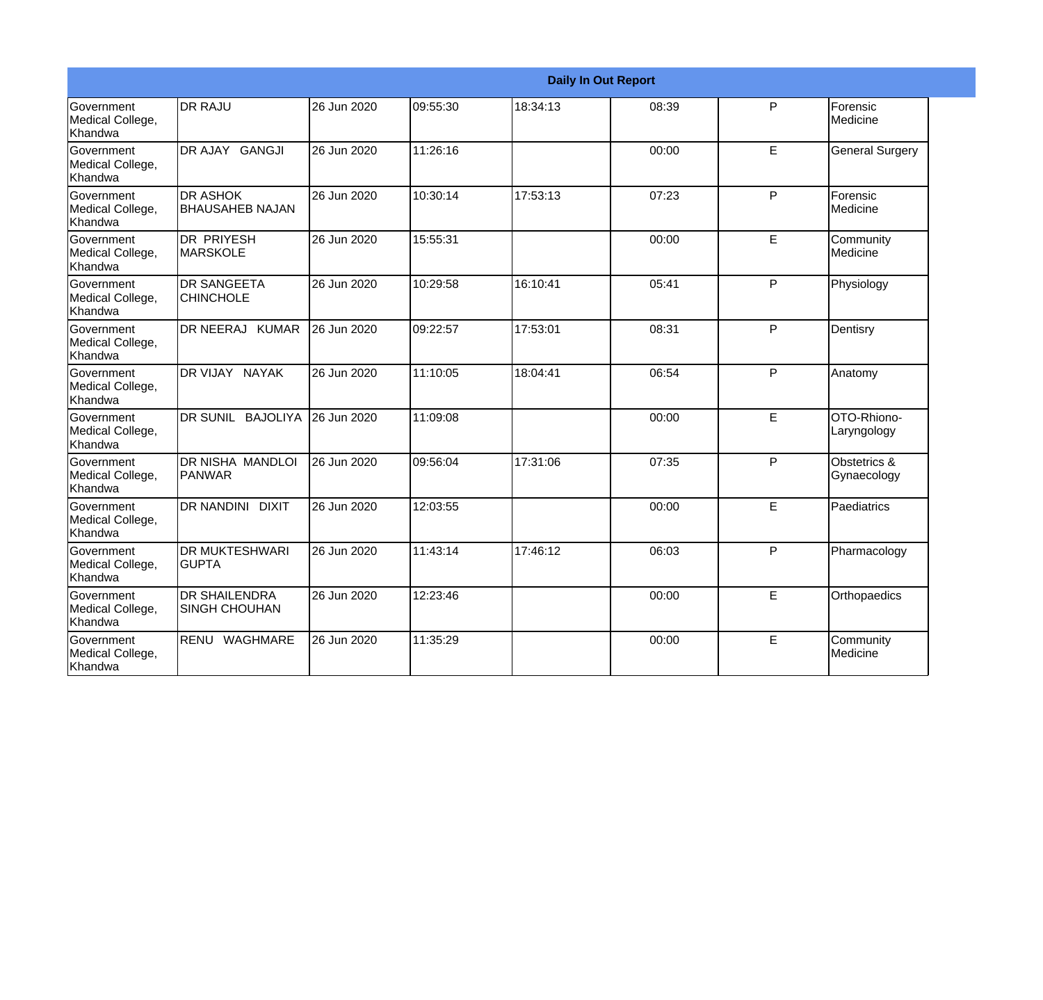|                                                  |                                              |             |          | <b>Daily In Out Report</b> |       |             |                             |
|--------------------------------------------------|----------------------------------------------|-------------|----------|----------------------------|-------|-------------|-----------------------------|
| Government<br>Medical College,<br>Khandwa        | <b>DR RAJU</b>                               | 26 Jun 2020 | 09:55:30 | 18:34:13                   | 08:39 | P           | Forensic<br>Medicine        |
| Government<br>Medical College,<br>Khandwa        | DR AJAY GANGJI                               | 26 Jun 2020 | 11:26:16 |                            | 00:00 | E           | <b>General Surgery</b>      |
| <b>Government</b><br>Medical College,<br>Khandwa | <b>DR ASHOK</b><br><b>BHAUSAHEB NAJAN</b>    | 26 Jun 2020 | 10:30:14 | 17:53:13                   | 07:23 | P           | Forensic<br>Medicine        |
| Government<br>Medical College,<br>Khandwa        | DR PRIYESH<br><b>MARSKOLE</b>                | 26 Jun 2020 | 15:55:31 |                            | 00:00 | $\mathsf E$ | Community<br>Medicine       |
| Government<br>Medical College,<br>Khandwa        | <b>DR SANGEETA</b><br><b>CHINCHOLE</b>       | 26 Jun 2020 | 10:29:58 | 16:10:41                   | 05:41 | P           | Physiology                  |
| Government<br>Medical College,<br>Khandwa        | DR NEERAJ KUMAR                              | 26 Jun 2020 | 09:22:57 | 17:53:01                   | 08:31 | P           | Dentisry                    |
| Government<br>Medical College,<br>Khandwa        | DR VIJAY NAYAK                               | 26 Jun 2020 | 11:10:05 | 18:04:41                   | 06:54 | P           | Anatomy                     |
| Government<br>Medical College,<br>Khandwa        | DR SUNIL BAJOLIYA                            | 26 Jun 2020 | 11:09:08 |                            | 00:00 | $\mathsf E$ | OTO-Rhiono-<br>Laryngology  |
| Government<br>Medical College,<br>Khandwa        | DR NISHA MANDLOI<br>PANWAR                   | 26 Jun 2020 | 09:56:04 | 17:31:06                   | 07:35 | P           | Obstetrics &<br>Gynaecology |
| Government<br>Medical College,<br>Khandwa        | <b>DR NANDINI</b><br><b>DIXIT</b>            | 26 Jun 2020 | 12:03:55 |                            | 00:00 | E           | Paediatrics                 |
| <b>Government</b><br>Medical College,<br>Khandwa | <b>DR MUKTESHWARI</b><br><b>GUPTA</b>        | 26 Jun 2020 | 11:43:14 | 17:46:12                   | 06:03 | P           | Pharmacology                |
| <b>Government</b><br>Medical College,<br>Khandwa | <b>DR SHAILENDRA</b><br><b>SINGH CHOUHAN</b> | 26 Jun 2020 | 12:23:46 |                            | 00:00 | E           | Orthopaedics                |
| <b>Government</b><br>Medical College,<br>Khandwa | RENU<br><b>WAGHMARE</b>                      | 26 Jun 2020 | 11:35:29 |                            | 00:00 | E           | Community<br>Medicine       |